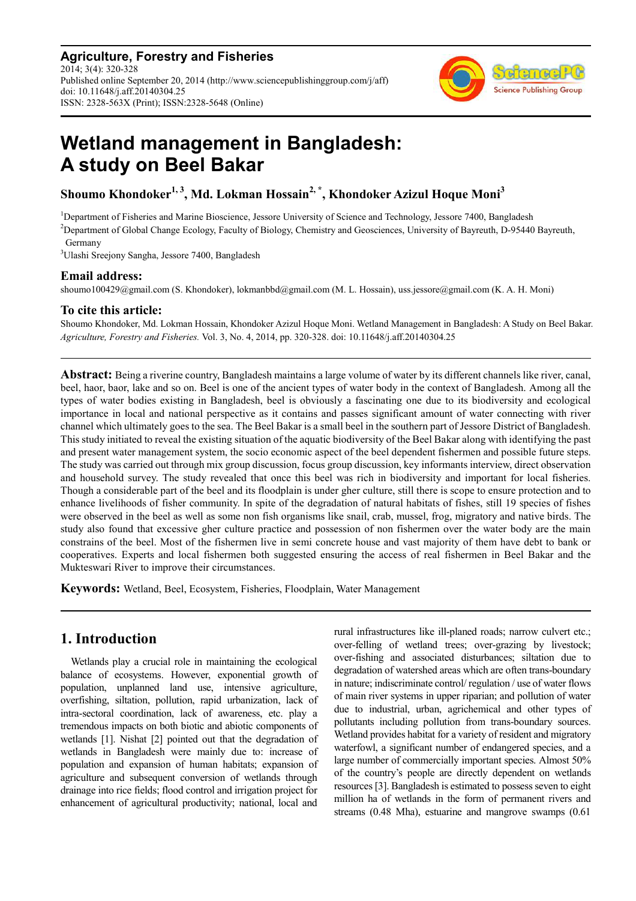**Agriculture, Forestry and Fisheries** 2014; 3(4): 320-328 Published online September 20, 2014 (http://www.sciencepublishinggroup.com/j/aff) doi: 10.11648/j.aff.20140304.25 ISSN: 2328-563X (Print); ISSN:2328-5648 (Online)



# **Wetland management in Bangladesh: A study on Beel Bakar**

**Shoumo Khondoker1, 3, Md. Lokman Hossain2, \*, Khondoker Azizul Hoque Moni<sup>3</sup>**

<sup>1</sup>Department of Fisheries and Marine Bioscience, Jessore University of Science and Technology, Jessore 7400, Bangladesh <sup>2</sup>Department of Global Change Ecology, Faculty of Biology, Chemistry and Geosciences, University of Bayreuth, D-95440 Bayreuth, Germany

<sup>3</sup>Ulashi Sreejony Sangha, Jessore 7400, Bangladesh

# **Email address:**

shoumo100429@gmail.com (S. Khondoker), lokmanbbd@gmail.com (M. L. Hossain), uss.jessore@gmail.com (K. A. H. Moni)

# **To cite this article:**

Shoumo Khondoker, Md. Lokman Hossain, Khondoker Azizul Hoque Moni. Wetland Management in Bangladesh: A Study on Beel Bakar. *Agriculture, Forestry and Fisheries.* Vol. 3, No. 4, 2014, pp. 320-328. doi: 10.11648/j.aff.20140304.25

**Abstract:** Being a riverine country, Bangladesh maintains a large volume of water by its different channels like river, canal, beel, haor, baor, lake and so on. Beel is one of the ancient types of water body in the context of Bangladesh. Among all the types of water bodies existing in Bangladesh, beel is obviously a fascinating one due to its biodiversity and ecological importance in local and national perspective as it contains and passes significant amount of water connecting with river channel which ultimately goes to the sea. The Beel Bakar is a small beel in the southern part of Jessore District of Bangladesh. This study initiated to reveal the existing situation of the aquatic biodiversity of the Beel Bakar along with identifying the past and present water management system, the socio economic aspect of the beel dependent fishermen and possible future steps. The study was carried out through mix group discussion, focus group discussion, key informants interview, direct observation and household survey. The study revealed that once this beel was rich in biodiversity and important for local fisheries. Though a considerable part of the beel and its floodplain is under gher culture, still there is scope to ensure protection and to enhance livelihoods of fisher community. In spite of the degradation of natural habitats of fishes, still 19 species of fishes were observed in the beel as well as some non fish organisms like snail, crab, mussel, frog, migratory and native birds. The study also found that excessive gher culture practice and possession of non fishermen over the water body are the main constrains of the beel. Most of the fishermen live in semi concrete house and vast majority of them have debt to bank or cooperatives. Experts and local fishermen both suggested ensuring the access of real fishermen in Beel Bakar and the Mukteswari River to improve their circumstances.

**Keywords:** Wetland, Beel, Ecosystem, Fisheries, Floodplain, Water Management

# **1. Introduction**

Wetlands play a crucial role in maintaining the ecological balance of ecosystems. However, exponential growth of population, unplanned land use, intensive agriculture, overfishing, siltation, pollution, rapid urbanization, lack of intra-sectoral coordination, lack of awareness, etc. play a tremendous impacts on both biotic and abiotic components of wetlands [1]. Nishat [2] pointed out that the degradation of wetlands in Bangladesh were mainly due to: increase of population and expansion of human habitats; expansion of agriculture and subsequent conversion of wetlands through drainage into rice fields; flood control and irrigation project for enhancement of agricultural productivity; national, local and

rural infrastructures like ill-planed roads; narrow culvert etc.; over-felling of wetland trees; over-grazing by livestock; over-fishing and associated disturbances; siltation due to degradation of watershed areas which are often trans-boundary in nature; indiscriminate control/ regulation / use of water flows of main river systems in upper riparian; and pollution of water due to industrial, urban, agrichemical and other types of pollutants including pollution from trans-boundary sources. Wetland provides habitat for a variety of resident and migratory waterfowl, a significant number of endangered species, and a large number of commercially important species. Almost 50% of the country's people are directly dependent on wetlands resources [3]. Bangladesh is estimated to possess seven to eight million ha of wetlands in the form of permanent rivers and streams (0.48 Mha), estuarine and mangrove swamps (0.61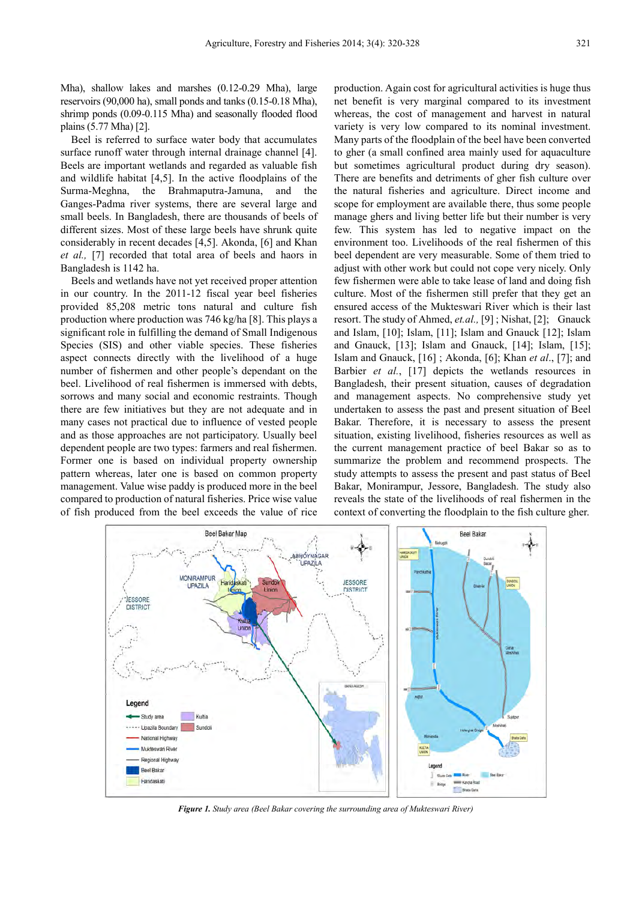Mha), shallow lakes and marshes (0.12-0.29 Mha), large reservoirs (90,000 ha), small ponds and tanks (0.15-0.18 Mha), shrimp ponds (0.09-0.115 Mha) and seasonally flooded flood plains (5.77 Mha) [2].

Beel is referred to surface water body that accumulates surface runoff water through internal drainage channel [4]. Beels are important wetlands and regarded as valuable fish and wildlife habitat [4,5]. In the active floodplains of the Surma-Meghna, the Brahmaputra-Jamuna, and the Ganges-Padma river systems, there are several large and small beels. In Bangladesh, there are thousands of beels of different sizes. Most of these large beels have shrunk quite considerably in recent decades [4,5]. Akonda, [6] and Khan *et al.,* [7] recorded that total area of beels and haors in Bangladesh is 1142 ha.

Beels and wetlands have not yet received proper attention in our country. In the 2011-12 fiscal year beel fisheries provided 85,208 metric tons natural and culture fish production where production was 746 kg/ha [8]. This plays a significant role in fulfilling the demand of Small Indigenous Species (SIS) and other viable species. These fisheries aspect connects directly with the livelihood of a huge number of fishermen and other people's dependant on the beel. Livelihood of real fishermen is immersed with debts, sorrows and many social and economic restraints. Though there are few initiatives but they are not adequate and in many cases not practical due to influence of vested people and as those approaches are not participatory. Usually beel dependent people are two types: farmers and real fishermen. Former one is based on individual property ownership pattern whereas, later one is based on common property management. Value wise paddy is produced more in the beel compared to production of natural fisheries. Price wise value of fish produced from the beel exceeds the value of rice

production. Again cost for agricultural activities is huge thus net benefit is very marginal compared to its investment whereas, the cost of management and harvest in natural variety is very low compared to its nominal investment. Many parts of the floodplain of the beel have been converted to gher (a small confined area mainly used for aquaculture but sometimes agricultural product during dry season). There are benefits and detriments of gher fish culture over the natural fisheries and agriculture. Direct income and scope for employment are available there, thus some people manage ghers and living better life but their number is very few. This system has led to negative impact on the environment too. Livelihoods of the real fishermen of this beel dependent are very measurable. Some of them tried to adjust with other work but could not cope very nicely. Only few fishermen were able to take lease of land and doing fish culture. Most of the fishermen still prefer that they get an ensured access of the Mukteswari River which is their last resort. The study of Ahmed, *et.al.,* [9] ; Nishat, [2]; Gnauck and Islam, [10]; Islam, [11]; Islam and Gnauck [12]; Islam and Gnauck, [13]; Islam and Gnauck, [14]; Islam, [15]; Islam and Gnauck, [16] ; Akonda, [6]; Khan *et al*., [7]; and Barbier *et al.*, [17] depicts the wetlands resources in Bangladesh, their present situation, causes of degradation and management aspects. No comprehensive study yet undertaken to assess the past and present situation of Beel Bakar. Therefore, it is necessary to assess the present situation, existing livelihood, fisheries resources as well as the current management practice of beel Bakar so as to summarize the problem and recommend prospects. The study attempts to assess the present and past status of Beel Bakar, Monirampur, Jessore, Bangladesh. The study also reveals the state of the livelihoods of real fishermen in the context of converting the floodplain to the fish culture gher.



*Figure 1. Study area (Beel Bakar covering the surrounding area of Mukteswari River)*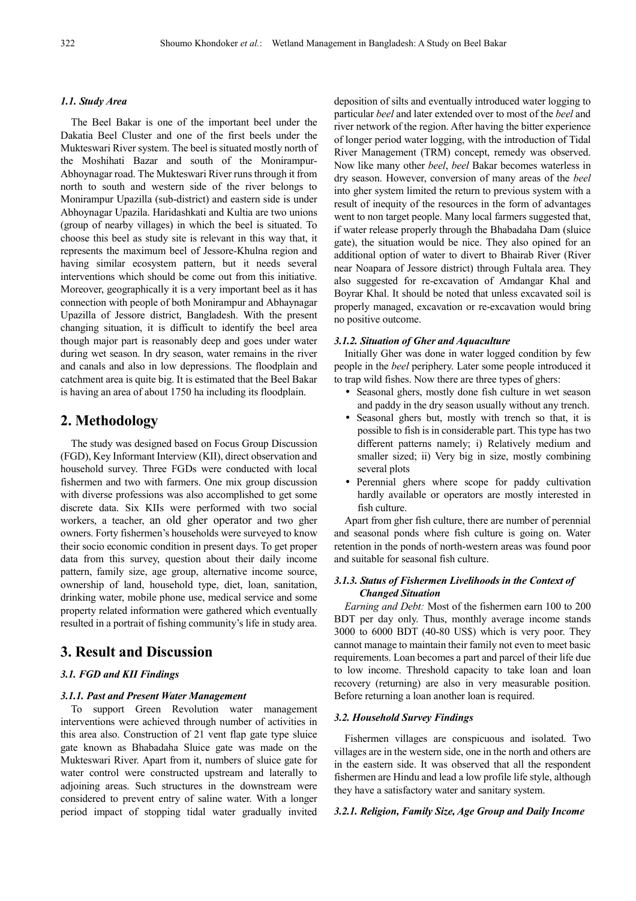#### *1.1. Study Area*

The Beel Bakar is one of the important beel under the Dakatia Beel Cluster and one of the first beels under the Mukteswari River system. The beel is situated mostly north of the Moshihati Bazar and south of the Monirampur-Abhoynagar road. The Mukteswari River runs through it from north to south and western side of the river belongs to Monirampur Upazilla (sub-district) and eastern side is under Abhoynagar Upazila. Haridashkati and Kultia are two unions (group of nearby villages) in which the beel is situated. To choose this beel as study site is relevant in this way that, it represents the maximum beel of Jessore-Khulna region and having similar ecosystem pattern, but it needs several interventions which should be come out from this initiative. Moreover, geographically it is a very important beel as it has connection with people of both Monirampur and Abhaynagar Upazilla of Jessore district, Bangladesh. With the present changing situation, it is difficult to identify the beel area though major part is reasonably deep and goes under water during wet season. In dry season, water remains in the river and canals and also in low depressions. The floodplain and catchment area is quite big. It is estimated that the Beel Bakar is having an area of about 1750 ha including its floodplain.

# **2. Methodology**

The study was designed based on Focus Group Discussion (FGD), Key Informant Interview (KII), direct observation and household survey. Three FGDs were conducted with local fishermen and two with farmers. One mix group discussion with diverse professions was also accomplished to get some discrete data. Six KIIs were performed with two social workers, a teacher, an old gher operator and two gher owners. Forty fishermen's households were surveyed to know their socio economic condition in present days. To get proper data from this survey, question about their daily income pattern, family size, age group, alternative income source, ownership of land, household type, diet, loan, sanitation, drinking water, mobile phone use, medical service and some property related information were gathered which eventually resulted in a portrait of fishing community's life in study area.

# **3. Result and Discussion**

# *3.1. FGD and KII Findings*

## *3.1.1. Past and Present Water Management*

To support Green Revolution water management interventions were achieved through number of activities in this area also. Construction of 21 vent flap gate type sluice gate known as Bhabadaha Sluice gate was made on the Mukteswari River. Apart from it, numbers of sluice gate for water control were constructed upstream and laterally to adjoining areas. Such structures in the downstream were considered to prevent entry of saline water. With a longer period impact of stopping tidal water gradually invited deposition of silts and eventually introduced water logging to particular *beel* and later extended over to most of the *beel* and river network of the region. After having the bitter experience of longer period water logging, with the introduction of Tidal River Management (TRM) concept, remedy was observed. Now like many other *beel*, *beel* Bakar becomes waterless in dry season. However, conversion of many areas of the *beel* into gher system limited the return to previous system with a result of inequity of the resources in the form of advantages went to non target people. Many local farmers suggested that, if water release properly through the Bhabadaha Dam (sluice gate), the situation would be nice. They also opined for an additional option of water to divert to Bhairab River (River near Noapara of Jessore district) through Fultala area. They also suggested for re-excavation of Amdangar Khal and Boyrar Khal. It should be noted that unless excavated soil is properly managed, excavation or re-excavation would bring no positive outcome.

#### *3.1.2. Situation of Gher and Aquaculture*

Initially Gher was done in water logged condition by few people in the *beel* periphery. Later some people introduced it to trap wild fishes. Now there are three types of ghers:

- Seasonal ghers, mostly done fish culture in wet season and paddy in the dry season usually without any trench.
- Seasonal ghers but, mostly with trench so that, it is possible to fish is in considerable part. This type has two different patterns namely; i) Relatively medium and smaller sized; ii) Very big in size, mostly combining several plots
- Perennial ghers where scope for paddy cultivation hardly available or operators are mostly interested in fish culture.

Apart from gher fish culture, there are number of perennial and seasonal ponds where fish culture is going on. Water retention in the ponds of north-western areas was found poor and suitable for seasonal fish culture.

# *3.1.3. Status of Fishermen Livelihoods in the Context of Changed Situation*

*Earning and Debt:* Most of the fishermen earn 100 to 200 BDT per day only. Thus, monthly average income stands 3000 to 6000 BDT (40-80 US\$) which is very poor. They cannot manage to maintain their family not even to meet basic requirements. Loan becomes a part and parcel of their life due to low income. Threshold capacity to take loan and loan recovery (returning) are also in very measurable position. Before returning a loan another loan is required.

## *3.2. Household Survey Findings*

Fishermen villages are conspicuous and isolated. Two villages are in the western side, one in the north and others are in the eastern side. It was observed that all the respondent fishermen are Hindu and lead a low profile life style, although they have a satisfactory water and sanitary system.

### *3.2.1. Religion, Family Size, Age Group and Daily Income*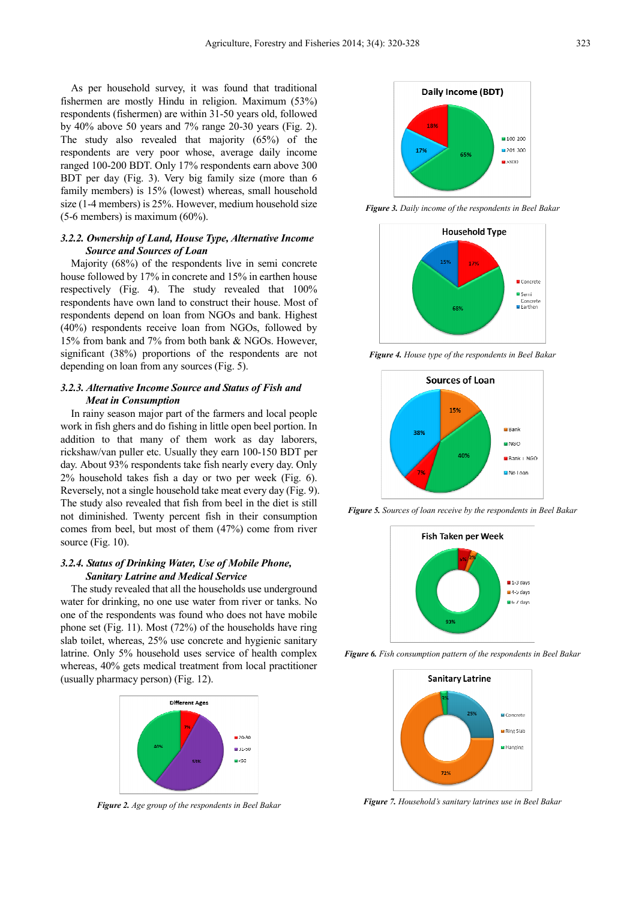As per household survey, it was found that traditional fishermen are mostly Hindu in religion. Maximum (53%) respondents (fishermen) are within 31-50 years old, followed by  $40\%$  above 50 years and  $7\%$  range 20-30 years (Fig. 2). The study also revealed that majority (65%) of the respondents are very poor whose, average daily income ranged 100-200 BDT. Only 17% respondents earn above 300 BDT per day (Fig. 3). Very big family size (more than 6 family members) is 15% (lowest) whereas, small household size (1-4 members) is 25%. However, medium household size  $(5-6$  members) is maximum  $(60\%)$ .

# *3.2.2. Ownership of Land, House Type, Alternative Income Source and Sources of Loan*

Majority (68%) of the respondents live in semi concrete house followed by 17% in concrete and 15% in earthen house respectively (Fig. 4). The study revealed that 100% respondents have own land to construct their house. Most of respondents depend on loan from NGOs and bank. Highest (40%) respondents receive loan from NGOs, followed by 15% from bank and 7% from both bank & NGOs. However, significant (38%) proportions of the respondents are not depending on loan from any sources (Fig. 5).

## *3.2.3. Alternative Income Source and Status of Fish and Meat in Consumption*

In rainy season major part of the farmers and local people work in fish ghers and do fishing in little open beel portion. In addition to that many of them work as day laborers, rickshaw/van puller etc. Usually they earn 100-150 BDT per day. About 93% respondents take fish nearly every day. Only 2% household takes fish a day or two per week (Fig. 6). Reversely, not a single household take meat every day (Fig. 9). The study also revealed that fish from beel in the diet is still not diminished. Twenty percent fish in their consumption comes from beel, but most of them (47%) come from river source (Fig. 10).

# *3.2.4. Status of Drinking Water, Use of Mobile Phone, Sanitary Latrine and Medical Service*

The study revealed that all the households use underground water for drinking, no one use water from river or tanks. No one of the respondents was found who does not have mobile phone set (Fig. 11). Most (72%) of the households have ring slab toilet, whereas, 25% use concrete and hygienic sanitary latrine. Only 5% household uses service of health complex whereas, 40% gets medical treatment from local practitioner (usually pharmacy person) (Fig. 12).



*Figure 2. Age group of the respondents in Beel Bakar* 



*Figure 3. Daily income of the respondents in Beel Bakar* 



*Figure 4. House type of the respondents in Beel Bakar* 



*Figure 5. Sources of loan receive by the respondents in Beel Bakar* 



*Figure 6. Fish consumption pattern of the respondents in Beel Bakar* 



*Figure 7. Household's sanitary latrines use in Beel Bakar*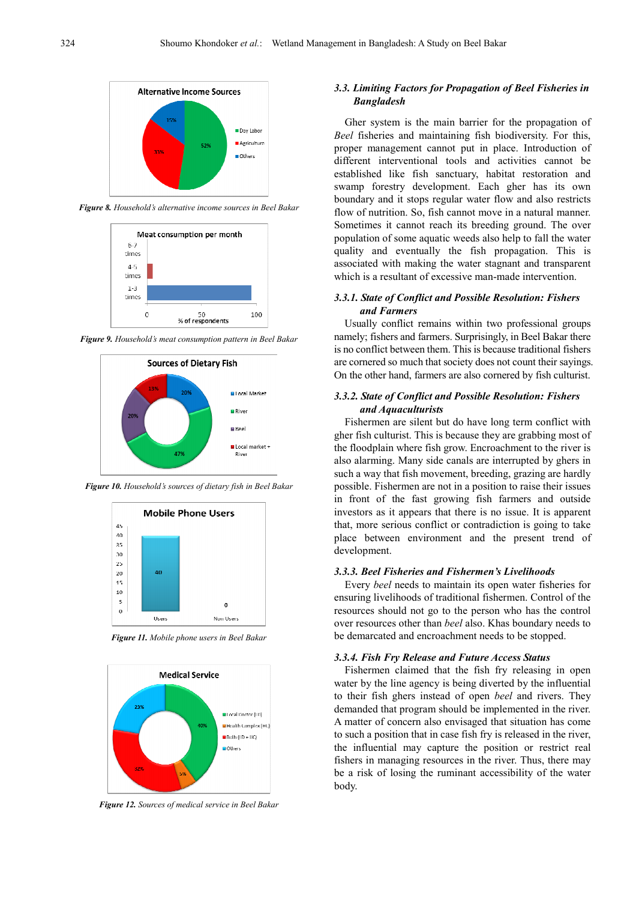

*Figure 8. Household's alternative income sources in Beel Bakar* 



*Figure 9. Household's meat consumption pattern in Beel Bakar* 



*Figure 10. Household's sources of dietary fish in Beel Bakar* 



*Figure 11. Mobile phone users in Beel Bakar* 



*Figure 12. Sources of medical service in Beel Bakar* 

# *3.3. Limiting Factors for Propagation of Beel Fisheries in Bangladesh*

Gher system is the main barrier for the propagation of *Beel* fisheries and maintaining fish biodiversity. For this, proper management cannot put in place. Introduction of different interventional tools and activities cannot be established like fish sanctuary, habitat restoration and swamp forestry development. Each gher has its own boundary and it stops regular water flow and also restricts flow of nutrition. So, fish cannot move in a natural manner. Sometimes it cannot reach its breeding ground. The over population of some aquatic weeds also help to fall the water quality and eventually the fish propagation. This is associated with making the water stagnant and transparent which is a resultant of excessive man-made intervention.

# *3.3.1. State of Conflict and Possible Resolution: Fishers and Farmers*

Usually conflict remains within two professional groups namely; fishers and farmers. Surprisingly, in Beel Bakar there is no conflict between them. This is because traditional fishers are cornered so much that society does not count their sayings. On the other hand, farmers are also cornered by fish culturist.

# *3.3.2. State of Conflict and Possible Resolution: Fishers and Aquaculturists*

Fishermen are silent but do have long term conflict with gher fish culturist. This is because they are grabbing most of the floodplain where fish grow. Encroachment to the river is also alarming. Many side canals are interrupted by ghers in such a way that fish movement, breeding, grazing are hardly possible. Fishermen are not in a position to raise their issues in front of the fast growing fish farmers and outside investors as it appears that there is no issue. It is apparent that, more serious conflict or contradiction is going to take place between environment and the present trend of development.

#### *3.3.3. Beel Fisheries and Fishermen's Livelihoods*

Every *beel* needs to maintain its open water fisheries for ensuring livelihoods of traditional fishermen. Control of the resources should not go to the person who has the control over resources other than *beel* also. Khas boundary needs to be demarcated and encroachment needs to be stopped.

### *3.3.4. Fish Fry Release and Future Access Status*

Fishermen claimed that the fish fry releasing in open water by the line agency is being diverted by the influential to their fish ghers instead of open *beel* and rivers. They demanded that program should be implemented in the river. A matter of concern also envisaged that situation has come to such a position that in case fish fry is released in the river, the influential may capture the position or restrict real fishers in managing resources in the river. Thus, there may be a risk of losing the ruminant accessibility of the water body.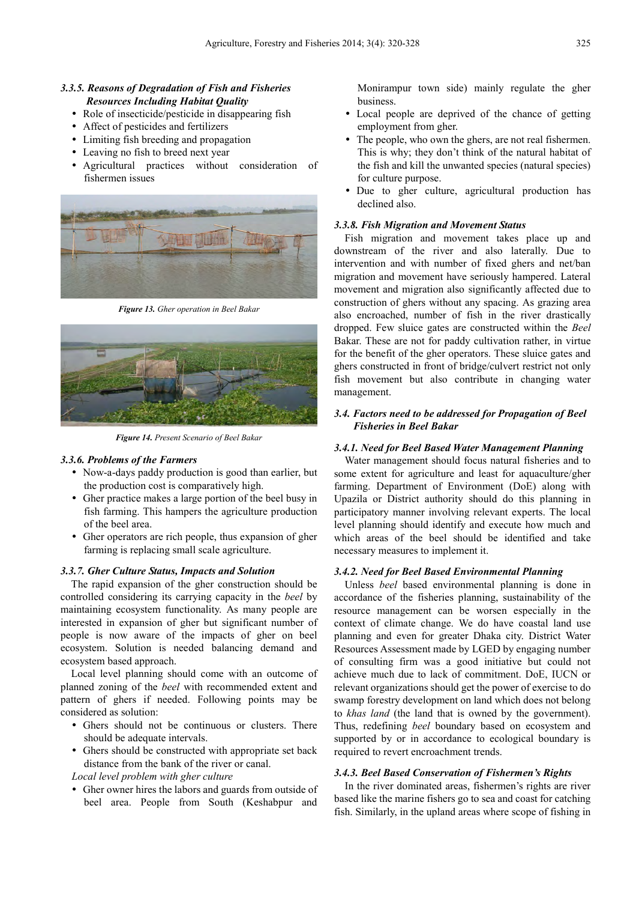# *3.3.5. Reasons of Degradation of Fish and Fisheries Resources Including Habitat Quality*

- Role of insecticide/pesticide in disappearing fish
- Affect of pesticides and fertilizers
- Limiting fish breeding and propagation
- Leaving no fish to breed next year
- Agricultural practices without consideration of fishermen issues



*Figure 13. Gher operation in Beel Bakar* 



*Figure 14. Present Scenario of Beel Bakar* 

#### *3.3.6. Problems of the Farmers*

- Now-a-days paddy production is good than earlier, but the production cost is comparatively high.
- Gher practice makes a large portion of the beel busy in fish farming. This hampers the agriculture production of the beel area.
- Gher operators are rich people, thus expansion of gher farming is replacing small scale agriculture.

## *3.3.7. Gher Culture Status, Impacts and Solution*

The rapid expansion of the gher construction should be controlled considering its carrying capacity in the *beel* by maintaining ecosystem functionality. As many people are interested in expansion of gher but significant number of people is now aware of the impacts of gher on beel ecosystem. Solution is needed balancing demand and ecosystem based approach.

Local level planning should come with an outcome of planned zoning of the *beel* with recommended extent and pattern of ghers if needed. Following points may be considered as solution:

- Ghers should not be continuous or clusters. There should be adequate intervals.
- Ghers should be constructed with appropriate set back distance from the bank of the river or canal.

*Local level problem with gher culture* 

 Gher owner hires the labors and guards from outside of beel area. People from South (Keshabpur and

Monirampur town side) mainly regulate the gher business.

- Local people are deprived of the chance of getting employment from gher.
- The people, who own the ghers, are not real fishermen. This is why; they don't think of the natural habitat of the fish and kill the unwanted species (natural species) for culture purpose.
- Due to gher culture, agricultural production has declined also.

### *3.3.8. Fish Migration and Movement Status*

Fish migration and movement takes place up and downstream of the river and also laterally. Due to intervention and with number of fixed ghers and net/ban migration and movement have seriously hampered. Lateral movement and migration also significantly affected due to construction of ghers without any spacing. As grazing area also encroached, number of fish in the river drastically dropped. Few sluice gates are constructed within the *Beel* Bakar. These are not for paddy cultivation rather, in virtue for the benefit of the gher operators. These sluice gates and ghers constructed in front of bridge/culvert restrict not only fish movement but also contribute in changing water management.

# *3.4. Factors need to be addressed for Propagation of Beel Fisheries in Beel Bakar*

### *3.4.1. Need for Beel Based Water Management Planning*

Water management should focus natural fisheries and to some extent for agriculture and least for aquaculture/gher farming. Department of Environment (DoE) along with Upazila or District authority should do this planning in participatory manner involving relevant experts. The local level planning should identify and execute how much and which areas of the beel should be identified and take necessary measures to implement it.

#### *3.4.2. Need for Beel Based Environmental Planning*

Unless *beel* based environmental planning is done in accordance of the fisheries planning, sustainability of the resource management can be worsen especially in the context of climate change. We do have coastal land use planning and even for greater Dhaka city. District Water Resources Assessment made by LGED by engaging number of consulting firm was a good initiative but could not achieve much due to lack of commitment. DoE, IUCN or relevant organizations should get the power of exercise to do swamp forestry development on land which does not belong to *khas land* (the land that is owned by the government). Thus, redefining *beel* boundary based on ecosystem and supported by or in accordance to ecological boundary is required to revert encroachment trends.

#### *3.4.3. Beel Based Conservation of Fishermen's Rights*

In the river dominated areas, fishermen's rights are river based like the marine fishers go to sea and coast for catching fish. Similarly, in the upland areas where scope of fishing in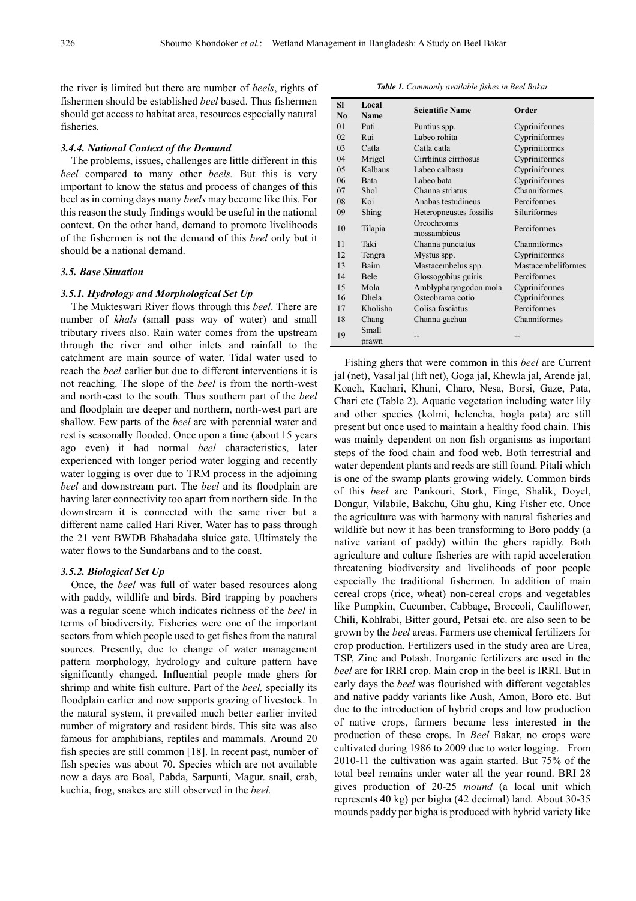the river is limited but there are number of *beels*, rights of fishermen should be established *beel* based. Thus fishermen should get access to habitat area, resources especially natural fisheries.

## *3.4.4. National Context of the Demand*

The problems, issues, challenges are little different in this *beel* compared to many other *beels.* But this is very important to know the status and process of changes of this beel as in coming days many *beels* may become like this. For this reason the study findings would be useful in the national context. On the other hand, demand to promote livelihoods of the fishermen is not the demand of this *beel* only but it should be a national demand.

#### *3.5. Base Situation*

#### *3.5.1. Hydrology and Morphological Set Up*

The Mukteswari River flows through this *beel*. There are number of *khals* (small pass way of water) and small tributary rivers also. Rain water comes from the upstream through the river and other inlets and rainfall to the catchment are main source of water. Tidal water used to reach the *beel* earlier but due to different interventions it is not reaching. The slope of the *beel* is from the north-west and north-east to the south. Thus southern part of the *beel*  and floodplain are deeper and northern, north-west part are shallow. Few parts of the *beel* are with perennial water and rest is seasonally flooded. Once upon a time (about 15 years ago even) it had normal *beel* characteristics, later experienced with longer period water logging and recently water logging is over due to TRM process in the adjoining *beel* and downstream part. The *beel* and its floodplain are having later connectivity too apart from northern side. In the downstream it is connected with the same river but a different name called Hari River. Water has to pass through the 21 vent BWDB Bhabadaha sluice gate. Ultimately the water flows to the Sundarbans and to the coast.

#### *3.5.2. Biological Set Up*

Once, the *beel* was full of water based resources along with paddy, wildlife and birds. Bird trapping by poachers was a regular scene which indicates richness of the *beel* in terms of biodiversity. Fisheries were one of the important sectors from which people used to get fishes from the natural sources. Presently, due to change of water management pattern morphology, hydrology and culture pattern have significantly changed. Influential people made ghers for shrimp and white fish culture. Part of the *beel,* specially its floodplain earlier and now supports grazing of livestock. In the natural system, it prevailed much better earlier invited number of migratory and resident birds. This site was also famous for amphibians, reptiles and mammals. Around 20 fish species are still common [18]. In recent past, number of fish species was about 70. Species which are not available now a days are Boal, Pabda, Sarpunti, Magur. snail, crab, kuchia, frog, snakes are still observed in the *beel.* 

*Table 1. Commonly available fishes in Beel Bakar* 

| <b>SI</b><br>No | Local<br><b>Name</b> | <b>Scientific Name</b>     | Order              |
|-----------------|----------------------|----------------------------|--------------------|
| 0 <sub>1</sub>  | Puti                 | Puntius spp.               | Cypriniformes      |
| 02              | Rui                  | Labeo rohita               | Cypriniformes      |
| 03              | Catla                | Catla catla                | Cypriniformes      |
| 04              | Mrigel               | Cirrhinus cirrhosus        | Cypriniformes      |
| 05              | Kalbaus              | Labeo calbasu              | Cypriniformes      |
| 06              | <b>Bata</b>          | Labeo bata                 | Cypriniformes      |
| 07              | Shol                 | Channa striatus            | Channiformes       |
| 08              | Koi                  | Anabas testudineus         | Perciformes        |
| 09              | Shing                | Heteropneustes fossilis    | Siluriformes       |
| 10              | Tilapia              | Oreochromis<br>mossambicus | Perciformes        |
| 11              | Taki                 | Channa punctatus           | Channiformes       |
| 12.             | Tengra               | Mystus spp.                | Cypriniformes      |
| 13              | <b>Baim</b>          | Mastacembelus spp.         | Mastacembeliformes |
| 14              | Bele                 | Glossogobius guiris        | Perciformes        |
| 15              | Mola                 | Amblypharyngodon mola      | Cypriniformes      |
| 16              | Dhela                | Osteobrama cotio           | Cypriniformes      |
| 17              | Kholisha             | Colisa fasciatus           | Perciformes        |
| 18              | Chang                | Channa gachua              | Channiformes       |
| 19              | Small<br>prawn       |                            |                    |

Fishing ghers that were common in this *beel* are Current jal (net), Vasal jal (lift net), Goga jal, Khewla jal, Arende jal, Koach, Kachari, Khuni, Charo, Nesa, Borsi, Gaze, Pata, Chari etc (Table 2). Aquatic vegetation including water lily and other species (kolmi, helencha, hogla pata) are still present but once used to maintain a healthy food chain. This was mainly dependent on non fish organisms as important steps of the food chain and food web. Both terrestrial and water dependent plants and reeds are still found. Pitali which is one of the swamp plants growing widely. Common birds of this *beel* are Pankouri, Stork, Finge, Shalik, Doyel, Dongur, Vilabile, Bakchu, Ghu ghu, King Fisher etc. Once the agriculture was with harmony with natural fisheries and wildlife but now it has been transforming to Boro paddy (a native variant of paddy) within the ghers rapidly. Both agriculture and culture fisheries are with rapid acceleration threatening biodiversity and livelihoods of poor people especially the traditional fishermen. In addition of main cereal crops (rice, wheat) non-cereal crops and vegetables like Pumpkin, Cucumber, Cabbage, Broccoli, Cauliflower, Chili, Kohlrabi, Bitter gourd, Petsai etc. are also seen to be grown by the *beel* areas. Farmers use chemical fertilizers for crop production. Fertilizers used in the study area are Urea, TSP, Zinc and Potash. Inorganic fertilizers are used in the *beel* are for IRRI crop. Main crop in the beel is IRRI. But in early days the *beel* was flourished with different vegetables and native paddy variants like Aush, Amon, Boro etc. But due to the introduction of hybrid crops and low production of native crops, farmers became less interested in the production of these crops. In *Beel* Bakar, no crops were cultivated during 1986 to 2009 due to water logging. From 2010-11 the cultivation was again started. But 75% of the total beel remains under water all the year round. BRI 28 gives production of 20-25 *mound* (a local unit which represents 40 kg) per bigha (42 decimal) land. About 30-35 mounds paddy per bigha is produced with hybrid variety like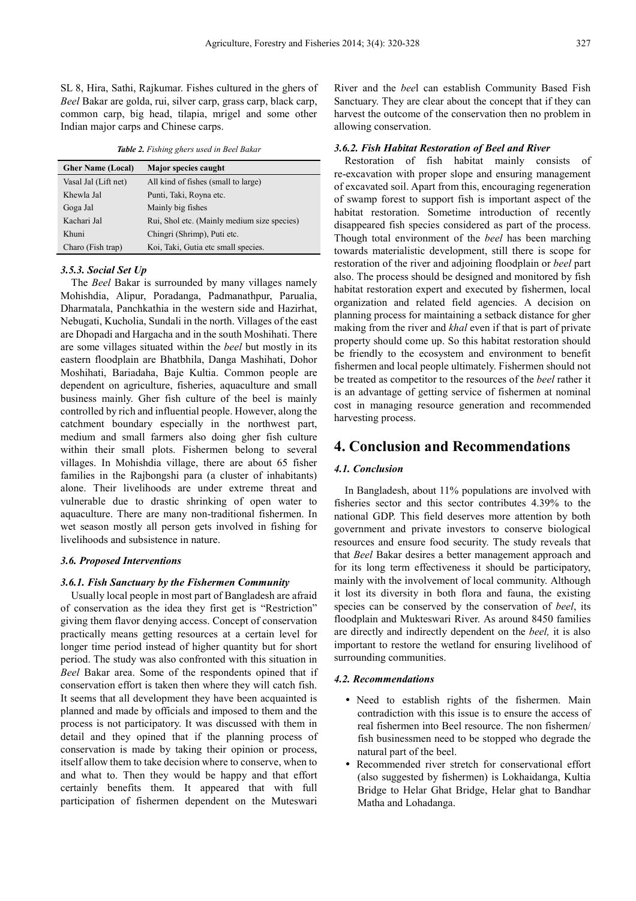SL 8, Hira, Sathi, Rajkumar. Fishes cultured in the ghers of *Beel* Bakar are golda, rui, silver carp, grass carp, black carp, common carp, big head, tilapia, mrigel and some other Indian major carps and Chinese carps.

*Table 2. Fishing ghers used in Beel Bakar* 

| <b>Gher Name (Local)</b> | Major species caught                        |  |
|--------------------------|---------------------------------------------|--|
| Vasal Jal (Lift net)     | All kind of fishes (small to large)         |  |
| Khewla Jal               | Punti, Taki, Royna etc.                     |  |
| Goga Jal                 | Mainly big fishes                           |  |
| Kachari Jal              | Rui, Shol etc. (Mainly medium size species) |  |
| Khuni                    | Chingri (Shrimp), Puti etc.                 |  |
| Charo (Fish trap)        | Koi, Taki, Gutia etc small species.         |  |

## *3.5.3. Social Set Up*

The *Beel* Bakar is surrounded by many villages namely Mohishdia, Alipur, Poradanga, Padmanathpur, Parualia, Dharmatala, Panchkathia in the western side and Hazirhat, Nebugati, Kucholia, Sundali in the north. Villages of the east are Dhopadi and Hargacha and in the south Moshihati. There are some villages situated within the *beel* but mostly in its eastern floodplain are Bhatbhila, Danga Mashihati, Dohor Moshihati, Bariadaha, Baje Kultia. Common people are dependent on agriculture, fisheries, aquaculture and small business mainly. Gher fish culture of the beel is mainly controlled by rich and influential people. However, along the catchment boundary especially in the northwest part, medium and small farmers also doing gher fish culture within their small plots. Fishermen belong to several villages. In Mohishdia village, there are about 65 fisher families in the Rajbongshi para (a cluster of inhabitants) alone. Their livelihoods are under extreme threat and vulnerable due to drastic shrinking of open water to aquaculture. There are many non-traditional fishermen. In wet season mostly all person gets involved in fishing for livelihoods and subsistence in nature.

#### *3.6. Proposed Interventions*

#### *3.6.1. Fish Sanctuary by the Fishermen Community*

Usually local people in most part of Bangladesh are afraid of conservation as the idea they first get is "Restriction" giving them flavor denying access. Concept of conservation practically means getting resources at a certain level for longer time period instead of higher quantity but for short period. The study was also confronted with this situation in *Beel* Bakar area. Some of the respondents opined that if conservation effort is taken then where they will catch fish. It seems that all development they have been acquainted is planned and made by officials and imposed to them and the process is not participatory. It was discussed with them in detail and they opined that if the planning process of conservation is made by taking their opinion or process, itself allow them to take decision where to conserve, when to and what to. Then they would be happy and that effort certainly benefits them. It appeared that with full participation of fishermen dependent on the Muteswari

River and the *bee*l can establish Community Based Fish Sanctuary. They are clear about the concept that if they can harvest the outcome of the conservation then no problem in allowing conservation.

#### *3.6.2. Fish Habitat Restoration of Beel and River*

Restoration of fish habitat mainly consists of re-excavation with proper slope and ensuring management of excavated soil. Apart from this, encouraging regeneration of swamp forest to support fish is important aspect of the habitat restoration. Sometime introduction of recently disappeared fish species considered as part of the process. Though total environment of the *beel* has been marching towards materialistic development, still there is scope for restoration of the river and adjoining floodplain or *beel* part also. The process should be designed and monitored by fish habitat restoration expert and executed by fishermen, local organization and related field agencies. A decision on planning process for maintaining a setback distance for gher making from the river and *khal* even if that is part of private property should come up. So this habitat restoration should be friendly to the ecosystem and environment to benefit fishermen and local people ultimately. Fishermen should not be treated as competitor to the resources of the *beel* rather it is an advantage of getting service of fishermen at nominal cost in managing resource generation and recommended harvesting process.

# **4. Conclusion and Recommendations**

## *4.1. Conclusion*

In Bangladesh, about 11% populations are involved with fisheries sector and this sector contributes 4.39% to the national GDP. This field deserves more attention by both government and private investors to conserve biological resources and ensure food security. The study reveals that that *Beel* Bakar desires a better management approach and for its long term effectiveness it should be participatory, mainly with the involvement of local community. Although it lost its diversity in both flora and fauna, the existing species can be conserved by the conservation of *beel*, its floodplain and Mukteswari River. As around 8450 families are directly and indirectly dependent on the *beel,* it is also important to restore the wetland for ensuring livelihood of surrounding communities.

#### *4.2. Recommendations*

- Need to establish rights of the fishermen. Main contradiction with this issue is to ensure the access of real fishermen into Beel resource. The non fishermen/ fish businessmen need to be stopped who degrade the natural part of the beel.
- Recommended river stretch for conservational effort (also suggested by fishermen) is Lokhaidanga, Kultia Bridge to Helar Ghat Bridge, Helar ghat to Bandhar Matha and Lohadanga.